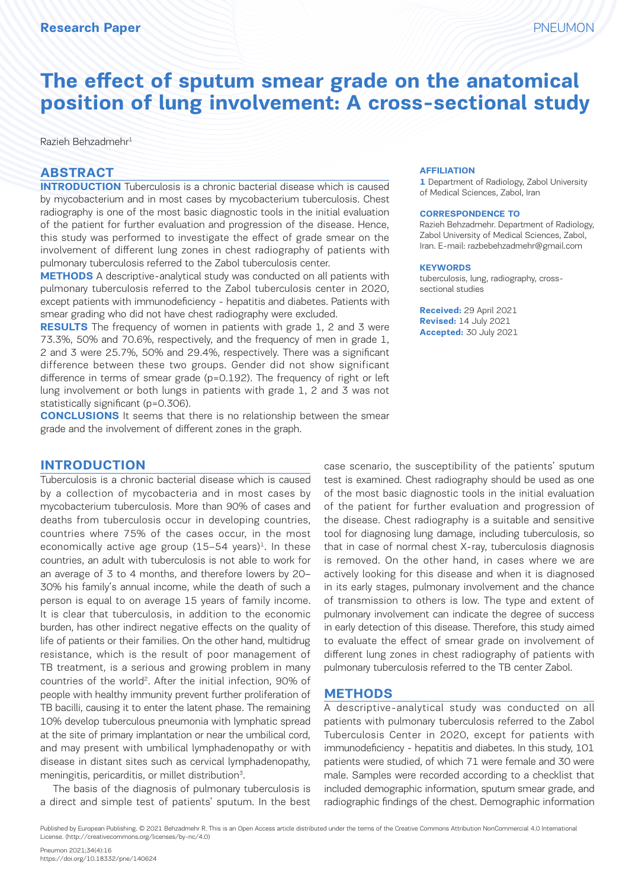# **The effect of sputum smear grade on the anatomical position of lung involvement: A cross-sectional study**

Razieh Behzadmehr<sup>1</sup>

#### **ABSTRACT**

**INTRODUCTION** Tuberculosis is a chronic bacterial disease which is caused by mycobacterium and in most cases by mycobacterium tuberculosis. Chest radiography is one of the most basic diagnostic tools in the initial evaluation of the patient for further evaluation and progression of the disease. Hence, this study was performed to investigate the effect of grade smear on the involvement of different lung zones in chest radiography of patients with pulmonary tuberculosis referred to the Zabol tuberculosis center.

**METHODS** A descriptive-analytical study was conducted on all patients with pulmonary tuberculosis referred to the Zabol tuberculosis center in 2020, except patients with immunodeficiency - hepatitis and diabetes. Patients with smear grading who did not have chest radiography were excluded.

**RESULTS** The frequency of women in patients with grade 1, 2 and 3 were 73.3%, 50% and 70.6%, respectively, and the frequency of men in grade 1, 2 and 3 were 25.7%, 50% and 29.4%, respectively. There was a significant difference between these two groups. Gender did not show significant difference in terms of smear grade (p=0.192). The frequency of right or left lung involvement or both lungs in patients with grade 1, 2 and 3 was not statistically significant (p=0.306).

**CONCLUSIONS** It seems that there is no relationship between the smear grade and the involvement of different zones in the graph.

## **INTRODUCTION**

Tuberculosis is a chronic bacterial disease which is caused by a collection of mycobacteria and in most cases by mycobacterium tuberculosis. More than 90% of cases and deaths from tuberculosis occur in developing countries, countries where 75% of the cases occur, in the most economically active age group  $(15-54 \text{ years})^1$ . In these countries, an adult with tuberculosis is not able to work for an average of 3 to 4 months, and therefore lowers by 20– 30% his family's annual income, while the death of such a person is equal to on average 15 years of family income. It is clear that tuberculosis, in addition to the economic burden, has other indirect negative effects on the quality of life of patients or their families. On the other hand, multidrug resistance, which is the result of poor management of TB treatment, is a serious and growing problem in many countries of the world<sup>2</sup>. After the initial infection, 90% of people with healthy immunity prevent further proliferation of TB bacilli, causing it to enter the latent phase. The remaining 10% develop tuberculous pneumonia with lymphatic spread at the site of primary implantation or near the umbilical cord, and may present with umbilical lymphadenopathy or with disease in distant sites such as cervical lymphadenopathy, meningitis, pericarditis, or millet distribution<sup>3</sup>.

The basis of the diagnosis of pulmonary tuberculosis is a direct and simple test of patients' sputum. In the best

#### **AFFILIATION**

**1** Department of Radiology, Zabol University of Medical Sciences, Zabol, Iran

#### **CORRESPONDENCE TO**

Razieh Behzadmehr. Department of Radiology, Zabol University of Medical Sciences, Zabol, Iran. E-mail: razbebehzadmehr@gmail.com

#### **KEYWORDS**

tuberculosis, lung, radiography, crosssectional studies

**Received:** 29 April 2021 **Revised:** 14 July 2021 **Accepted:** 30 July 2021

case scenario, the susceptibility of the patients' sputum test is examined. Chest radiography should be used as one of the most basic diagnostic tools in the initial evaluation of the patient for further evaluation and progression of the disease. Chest radiography is a suitable and sensitive tool for diagnosing lung damage, including tuberculosis, so that in case of normal chest X-ray, tuberculosis diagnosis is removed. On the other hand, in cases where we are actively looking for this disease and when it is diagnosed in its early stages, pulmonary involvement and the chance of transmission to others is low. The type and extent of pulmonary involvement can indicate the degree of success in early detection of this disease. Therefore, this study aimed to evaluate the effect of smear grade on involvement of different lung zones in chest radiography of patients with pulmonary tuberculosis referred to the TB center Zabol.

#### **METHODS**

A descriptive-analytical study was conducted on all patients with pulmonary tuberculosis referred to the Zabol Tuberculosis Center in 2020, except for patients with immunodeficiency - hepatitis and diabetes. In this study, 101 patients were studied, of which 71 were female and 30 were male. Samples were recorded according to a checklist that included demographic information, sputum smear grade, and radiographic findings of the chest. Demographic information

Published by European Publishing. © 2021 Behzadmehr R. This is an Open Access article distributed under the terms of the Creative Commons Attribution NonCommercial 4.0 International License. (http://creativecommons.org/licenses/by-nc/4.0)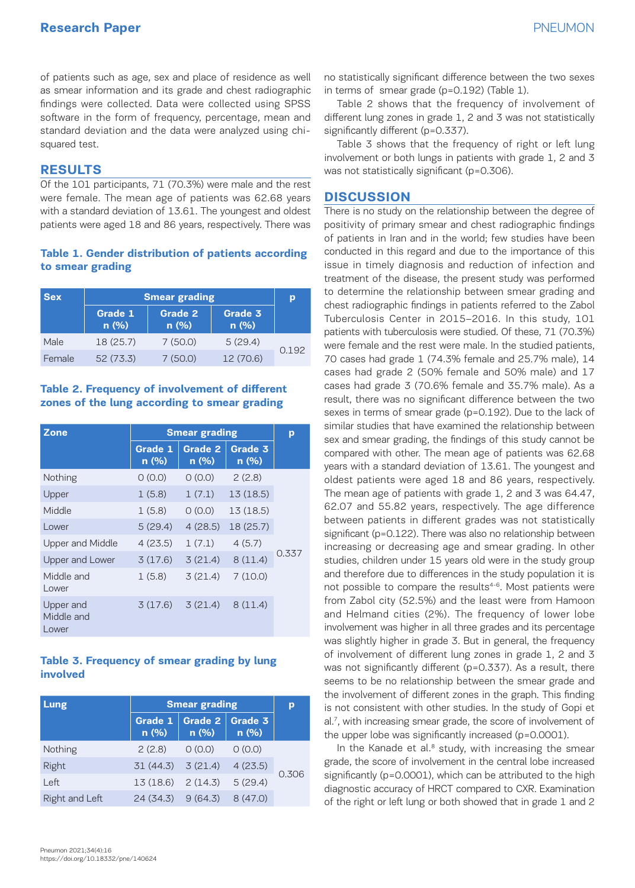of patients such as age, sex and place of residence as well as smear information and its grade and chest radiographic findings were collected. Data were collected using SPSS software in the form of frequency, percentage, mean and standard deviation and the data were analyzed using chisquared test.

#### **RESULTS**

Of the 101 participants, 71 (70.3%) were male and the rest were female. The mean age of patients was 62.68 years with a standard deviation of 13.61. The youngest and oldest patients were aged 18 and 86 years, respectively. There was

#### **Table 1. Gender distribution of patients according to smear grading**

| <b>Sex</b> | <b>Smear grading</b> | р               |                 |       |  |
|------------|----------------------|-----------------|-----------------|-------|--|
|            | Grade 1<br>n(%)      | Grade 2<br>n(%) | Grade 3<br>n(%) |       |  |
| Male       | 18 (25.7)            | 7(50.0)         | 5(29.4)         |       |  |
| Female     | 52(73.3)             | 7(50.0)         | 12 (70.6)       | 0.192 |  |

#### **Table 2. Frequency of involvement of different zones of the lung according to smear grading**

| Zone                             | <b>Smear grading</b> | p                      |                 |       |
|----------------------------------|----------------------|------------------------|-----------------|-------|
|                                  | Grade 1<br>n(%)      | <b>Grade 2</b><br>n(%) | Grade 3<br>n(%) |       |
| Nothing                          | O(0.0)               | O(0.0)                 | 2(2.8)          |       |
| Upper                            | 1(5.8)               | 1(7.1)                 | 13(18.5)        |       |
| Middle                           | 1(5.8)               | O(0.0)                 | 13(18.5)        |       |
| Lower                            | 5(29.4)              | 4(28.5)                | 18 (25.7)       |       |
| <b>Upper and Middle</b>          | 4(23.5)              | 1(7.1)                 | 4(5.7)          |       |
| Upper and Lower                  | 3(17.6)              | 3(21.4)                | 8(11.4)         | 0.337 |
| Middle and<br>Lower              | 1(5.8)               | 3(21.4)                | 7(10.0)         |       |
| Upper and<br>Middle and<br>Lower | 3(17.6)              | 3(21.4)                | 8(11.4)         |       |

#### **Table 3. Frequency of smear grading by lung involved**

| Lung           | <b>Smear grading</b> | D                      |                 |       |  |
|----------------|----------------------|------------------------|-----------------|-------|--|
|                | Grade 1<br>$n$ (%)   | <b>Grade 2</b><br>n(%) | Grade 3<br>n(%) |       |  |
| Nothing        | 2(2.8)               | O(0.0)                 | 0(0.0)          |       |  |
| Right          | $31(44.3)$ $3(21.4)$ |                        | 4(23.5)         | 0.306 |  |
| Left           | $13(18.6)$ $2(14.3)$ |                        | 5(29.4)         |       |  |
| Right and Left | $24(34.3)$ $9(64.3)$ |                        | 8(47.0)         |       |  |

no statistically significant difference between the two sexes in terms of smear grade (p=0.192) (Table 1).

Table 2 shows that the frequency of involvement of different lung zones in grade 1, 2 and 3 was not statistically significantly different (p=0.337).

Table 3 shows that the frequency of right or left lung involvement or both lungs in patients with grade 1, 2 and 3 was not statistically significant (p=0.306).

#### **DISCUSSION**

There is no study on the relationship between the degree of positivity of primary smear and chest radiographic findings of patients in Iran and in the world; few studies have been conducted in this regard and due to the importance of this issue in timely diagnosis and reduction of infection and treatment of the disease, the present study was performed to determine the relationship between smear grading and chest radiographic findings in patients referred to the Zabol Tuberculosis Center in 2015–2016. In this study, 101 patients with tuberculosis were studied. Of these, 71 (70.3%) were female and the rest were male. In the studied patients, 70 cases had grade 1 (74.3% female and 25.7% male), 14 cases had grade 2 (50% female and 50% male) and 17 cases had grade 3 (70.6% female and 35.7% male). As a result, there was no significant difference between the two sexes in terms of smear grade (p=0.192). Due to the lack of similar studies that have examined the relationship between sex and smear grading, the findings of this study cannot be compared with other. The mean age of patients was 62.68 years with a standard deviation of 13.61. The youngest and oldest patients were aged 18 and 86 years, respectively. The mean age of patients with grade 1, 2 and 3 was 64.47, 62.07 and 55.82 years, respectively. The age difference between patients in different grades was not statistically significant (p=0.122). There was also no relationship between increasing or decreasing age and smear grading. In other studies, children under 15 years old were in the study group and therefore due to differences in the study population it is not possible to compare the results<sup>4-6</sup>. Most patients were from Zabol city (52.5%) and the least were from Hamoon and Helmand cities (2%). The frequency of lower lobe involvement was higher in all three grades and its percentage was slightly higher in grade 3. But in general, the frequency of involvement of different lung zones in grade 1, 2 and 3 was not significantly different (p=0.337). As a result, there seems to be no relationship between the smear grade and the involvement of different zones in the graph. This finding is not consistent with other studies. In the study of Gopi et al.7, with increasing smear grade, the score of involvement of the upper lobe was significantly increased (p=0.0001).

In the Kanade et al. $8$  study, with increasing the smear grade, the score of involvement in the central lobe increased significantly (p=0.0001), which can be attributed to the high diagnostic accuracy of HRCT compared to CXR. Examination of the right or left lung or both showed that in grade 1 and 2